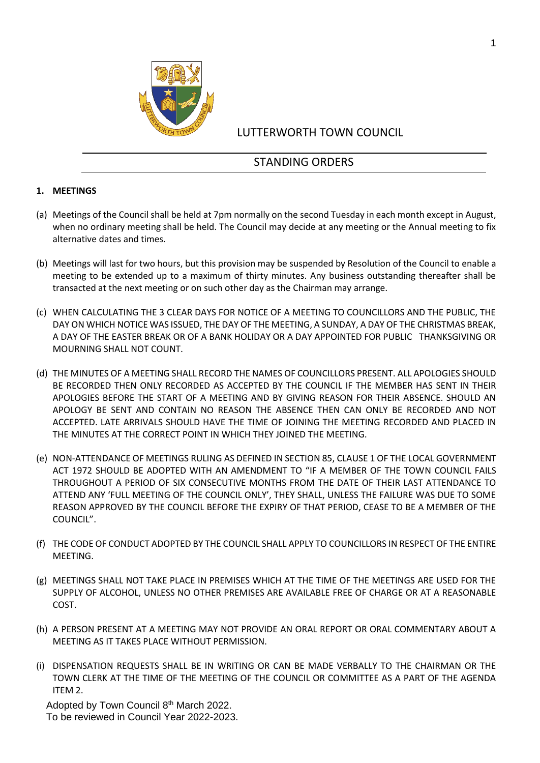

## LUTTERWORTH TOWN COUNCIL

# STANDING ORDERS

### **1. MEETINGS**

- (a) Meetings of the Council shall be held at 7pm normally on the second Tuesday in each month except in August, when no ordinary meeting shall be held. The Council may decide at any meeting or the Annual meeting to fix alternative dates and times.
- (b) Meetings will last for two hours, but this provision may be suspended by Resolution of the Council to enable a meeting to be extended up to a maximum of thirty minutes. Any business outstanding thereafter shall be transacted at the next meeting or on such other day as the Chairman may arrange.
- (c) WHEN CALCULATING THE 3 CLEAR DAYS FOR NOTICE OF A MEETING TO COUNCILLORS AND THE PUBLIC, THE DAY ON WHICH NOTICE WAS ISSUED, THE DAY OF THE MEETING, A SUNDAY, A DAY OF THE CHRISTMAS BREAK, A DAY OF THE EASTER BREAK OR OF A BANK HOLIDAY OR A DAY APPOINTED FOR PUBLIC THANKSGIVING OR MOURNING SHALL NOT COUNT.
- (d) THE MINUTES OF A MEETING SHALL RECORD THE NAMES OF COUNCILLORS PRESENT. ALL APOLOGIES SHOULD BE RECORDED THEN ONLY RECORDED AS ACCEPTED BY THE COUNCIL IF THE MEMBER HAS SENT IN THEIR APOLOGIES BEFORE THE START OF A MEETING AND BY GIVING REASON FOR THEIR ABSENCE. SHOULD AN APOLOGY BE SENT AND CONTAIN NO REASON THE ABSENCE THEN CAN ONLY BE RECORDED AND NOT ACCEPTED. LATE ARRIVALS SHOULD HAVE THE TIME OF JOINING THE MEETING RECORDED AND PLACED IN THE MINUTES AT THE CORRECT POINT IN WHICH THEY JOINED THE MEETING.
- (e) NON-ATTENDANCE OF MEETINGS RULING AS DEFINED IN SECTION 85, CLAUSE 1 OF THE LOCAL GOVERNMENT ACT 1972 SHOULD BE ADOPTED WITH AN AMENDMENT TO "IF A MEMBER OF THE TOWN COUNCIL FAILS THROUGHOUT A PERIOD OF SIX CONSECUTIVE MONTHS FROM THE DATE OF THEIR LAST ATTENDANCE TO ATTEND ANY 'FULL MEETING OF THE COUNCIL ONLY', THEY SHALL, UNLESS THE FAILURE WAS DUE TO SOME REASON APPROVED BY THE COUNCIL BEFORE THE EXPIRY OF THAT PERIOD, CEASE TO BE A MEMBER OF THE COUNCIL".
- (f) THE CODE OF CONDUCT ADOPTED BY THE COUNCIL SHALL APPLY TO COUNCILLORS IN RESPECT OF THE ENTIRE MEETING.
- (g) MEETINGS SHALL NOT TAKE PLACE IN PREMISES WHICH AT THE TIME OF THE MEETINGS ARE USED FOR THE SUPPLY OF ALCOHOL, UNLESS NO OTHER PREMISES ARE AVAILABLE FREE OF CHARGE OR AT A REASONABLE COST.
- (h) A PERSON PRESENT AT A MEETING MAY NOT PROVIDE AN ORAL REPORT OR ORAL COMMENTARY ABOUT A MEETING AS IT TAKES PLACE WITHOUT PERMISSION.
- (i) DISPENSATION REQUESTS SHALL BE IN WRITING OR CAN BE MADE VERBALLY TO THE CHAIRMAN OR THE TOWN CLERK AT THE TIME OF THE MEETING OF THE COUNCIL OR COMMITTEE AS A PART OF THE AGENDA ITEM 2.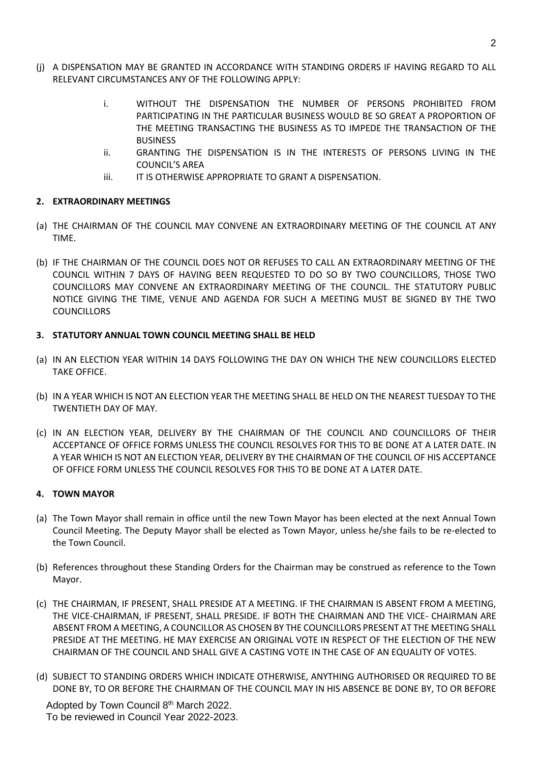- (j) A DISPENSATION MAY BE GRANTED IN ACCORDANCE WITH STANDING ORDERS IF HAVING REGARD TO ALL RELEVANT CIRCUMSTANCES ANY OF THE FOLLOWING APPLY:
	- i. WITHOUT THE DISPENSATION THE NUMBER OF PERSONS PROHIBITED FROM PARTICIPATING IN THE PARTICULAR BUSINESS WOULD BE SO GREAT A PROPORTION OF THE MEETING TRANSACTING THE BUSINESS AS TO IMPEDE THE TRANSACTION OF THE **BUSINESS**
	- ii. GRANTING THE DISPENSATION IS IN THE INTERESTS OF PERSONS LIVING IN THE COUNCIL'S AREA
	- iii. IT IS OTHERWISE APPROPRIATE TO GRANT A DISPENSATION.

### **2. EXTRAORDINARY MEETINGS**

- (a) THE CHAIRMAN OF THE COUNCIL MAY CONVENE AN EXTRAORDINARY MEETING OF THE COUNCIL AT ANY TIME.
- (b) IF THE CHAIRMAN OF THE COUNCIL DOES NOT OR REFUSES TO CALL AN EXTRAORDINARY MEETING OF THE COUNCIL WITHIN 7 DAYS OF HAVING BEEN REQUESTED TO DO SO BY TWO COUNCILLORS, THOSE TWO COUNCILLORS MAY CONVENE AN EXTRAORDINARY MEETING OF THE COUNCIL. THE STATUTORY PUBLIC NOTICE GIVING THE TIME, VENUE AND AGENDA FOR SUCH A MEETING MUST BE SIGNED BY THE TWO **COUNCILLORS**

### **3. STATUTORY ANNUAL TOWN COUNCIL MEETING SHALL BE HELD**

- (a) IN AN ELECTION YEAR WITHIN 14 DAYS FOLLOWING THE DAY ON WHICH THE NEW COUNCILLORS ELECTED TAKE OFFICE.
- (b) IN A YEAR WHICH IS NOT AN ELECTION YEAR THE MEETING SHALL BE HELD ON THE NEAREST TUESDAY TO THE TWENTIETH DAY OF MAY.
- (c) IN AN ELECTION YEAR, DELIVERY BY THE CHAIRMAN OF THE COUNCIL AND COUNCILLORS OF THEIR ACCEPTANCE OF OFFICE FORMS UNLESS THE COUNCIL RESOLVES FOR THIS TO BE DONE AT A LATER DATE. IN A YEAR WHICH IS NOT AN ELECTION YEAR, DELIVERY BY THE CHAIRMAN OF THE COUNCIL OF HIS ACCEPTANCE OF OFFICE FORM UNLESS THE COUNCIL RESOLVES FOR THIS TO BE DONE AT A LATER DATE.

#### **4. TOWN MAYOR**

- (a) The Town Mayor shall remain in office until the new Town Mayor has been elected at the next Annual Town Council Meeting. The Deputy Mayor shall be elected as Town Mayor, unless he/she fails to be re-elected to the Town Council.
- (b) References throughout these Standing Orders for the Chairman may be construed as reference to the Town Mayor.
- (c) THE CHAIRMAN, IF PRESENT, SHALL PRESIDE AT A MEETING. IF THE CHAIRMAN IS ABSENT FROM A MEETING, THE VICE-CHAIRMAN, IF PRESENT, SHALL PRESIDE. IF BOTH THE CHAIRMAN AND THE VICE- CHAIRMAN ARE ABSENT FROM A MEETING, A COUNCILLOR AS CHOSEN BY THE COUNCILLORS PRESENT AT THE MEETING SHALL PRESIDE AT THE MEETING. HE MAY EXERCISE AN ORIGINAL VOTE IN RESPECT OF THE ELECTION OF THE NEW CHAIRMAN OF THE COUNCIL AND SHALL GIVE A CASTING VOTE IN THE CASE OF AN EQUALITY OF VOTES.
- (d) SUBJECT TO STANDING ORDERS WHICH INDICATE OTHERWISE, ANYTHING AUTHORISED OR REQUIRED TO BE DONE BY, TO OR BEFORE THE CHAIRMAN OF THE COUNCIL MAY IN HIS ABSENCE BE DONE BY, TO OR BEFORE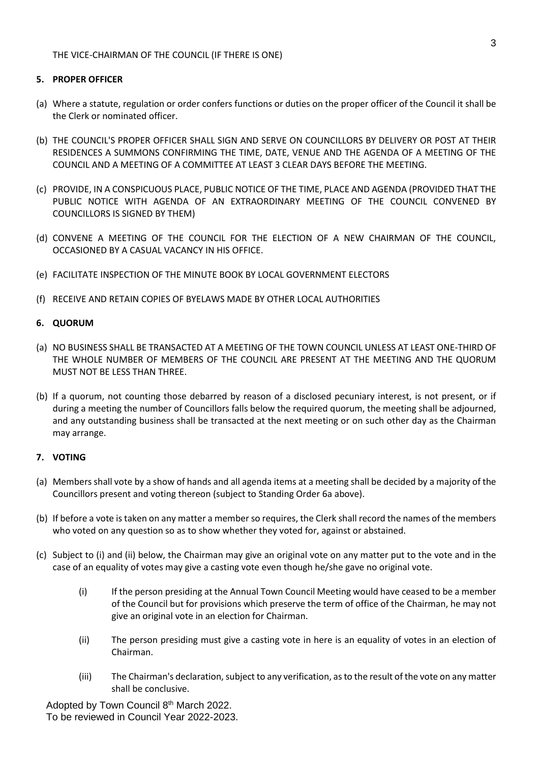THE VICE-CHAIRMAN OF THE COUNCIL (IF THERE IS ONE)

#### **5. PROPER OFFICER**

- (a) Where a statute, regulation or order confers functions or duties on the proper officer of the Council it shall be the Clerk or nominated officer.
- (b) THE COUNCIL'S PROPER OFFICER SHALL SIGN AND SERVE ON COUNCILLORS BY DELIVERY OR POST AT THEIR RESIDENCES A SUMMONS CONFIRMING THE TIME, DATE, VENUE AND THE AGENDA OF A MEETING OF THE COUNCIL AND A MEETING OF A COMMITTEE AT LEAST 3 CLEAR DAYS BEFORE THE MEETING.
- (c) PROVIDE, IN A CONSPICUOUS PLACE, PUBLIC NOTICE OF THE TIME, PLACE AND AGENDA (PROVIDED THAT THE PUBLIC NOTICE WITH AGENDA OF AN EXTRAORDINARY MEETING OF THE COUNCIL CONVENED BY COUNCILLORS IS SIGNED BY THEM)
- (d) CONVENE A MEETING OF THE COUNCIL FOR THE ELECTION OF A NEW CHAIRMAN OF THE COUNCIL, OCCASIONED BY A CASUAL VACANCY IN HIS OFFICE.
- (e) FACILITATE INSPECTION OF THE MINUTE BOOK BY LOCAL GOVERNMENT ELECTORS
- (f) RECEIVE AND RETAIN COPIES OF BYELAWS MADE BY OTHER LOCAL AUTHORITIES

### **6. QUORUM**

- (a) NO BUSINESS SHALL BE TRANSACTED AT A MEETING OF THE TOWN COUNCIL UNLESS AT LEAST ONE-THIRD OF THE WHOLE NUMBER OF MEMBERS OF THE COUNCIL ARE PRESENT AT THE MEETING AND THE QUORUM MUST NOT BE LESS THAN THREE.
- (b) If a quorum, not counting those debarred by reason of a disclosed pecuniary interest, is not present, or if during a meeting the number of Councillors falls below the required quorum, the meeting shall be adjourned, and any outstanding business shall be transacted at the next meeting or on such other day as the Chairman may arrange.

### **7. VOTING**

- (a) Members shall vote by a show of hands and all agenda items at a meeting shall be decided by a majority of the Councillors present and voting thereon (subject to Standing Order 6a above).
- (b) If before a vote is taken on any matter a member so requires, the Clerk shall record the names of the members who voted on any question so as to show whether they voted for, against or abstained.
- (c) Subject to (i) and (ii) below, the Chairman may give an original vote on any matter put to the vote and in the case of an equality of votes may give a casting vote even though he/she gave no original vote.
	- (i) If the person presiding at the Annual Town Council Meeting would have ceased to be a member of the Council but for provisions which preserve the term of office of the Chairman, he may not give an original vote in an election for Chairman.
	- (ii) The person presiding must give a casting vote in here is an equality of votes in an election of Chairman.
	- (iii) The Chairman's declaration, subject to any verification, as to the result of the vote on any matter shall be conclusive.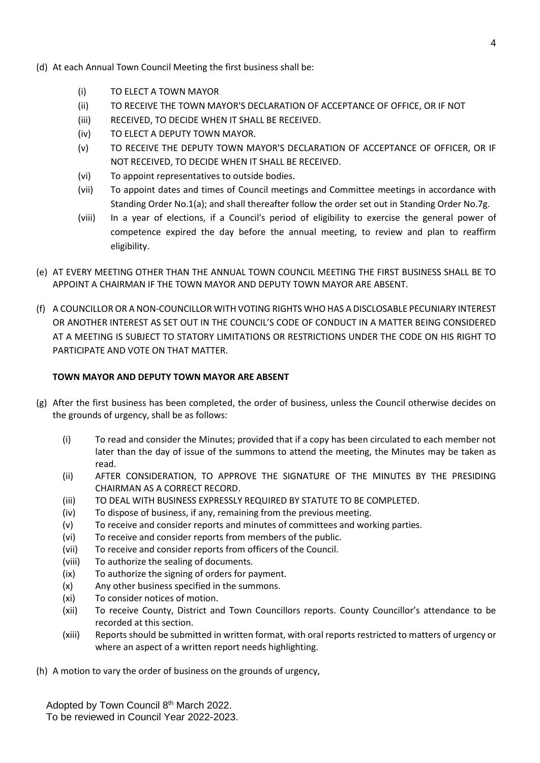- (d) At each Annual Town Council Meeting the first business shall be:
	- (i) TO ELECT A TOWN MAYOR
	- (ii) TO RECEIVE THE TOWN MAYOR'S DECLARATION OF ACCEPTANCE OF OFFICE, OR IF NOT
	- (iii) RECEIVED, TO DECIDE WHEN IT SHALL BE RECEIVED.
	- (iv) TO ELECT A DEPUTY TOWN MAYOR.
	- (v) TO RECEIVE THE DEPUTY TOWN MAYOR'S DECLARATION OF ACCEPTANCE OF OFFICER, OR IF NOT RECEIVED, TO DECIDE WHEN IT SHALL BE RECEIVED.
	- (vi) To appoint representatives to outside bodies.
	- (vii) To appoint dates and times of Council meetings and Committee meetings in accordance with Standing Order No.1(a); and shall thereafter follow the order set out in Standing Order No.7g.
	- (viii) In a year of elections, if a Council's period of eligibility to exercise the general power of competence expired the day before the annual meeting, to review and plan to reaffirm eligibility.
- (e) AT EVERY MEETING OTHER THAN THE ANNUAL TOWN COUNCIL MEETING THE FIRST BUSINESS SHALL BE TO APPOINT A CHAIRMAN IF THE TOWN MAYOR AND DEPUTY TOWN MAYOR ARE ABSENT.
- (f) A COUNCILLOR OR A NON-COUNCILLOR WITH VOTING RIGHTS WHO HAS A DISCLOSABLE PECUNIARY INTEREST OR ANOTHER INTEREST AS SET OUT IN THE COUNCIL'S CODE OF CONDUCT IN A MATTER BEING CONSIDERED AT A MEETING IS SUBJECT TO STATORY LIMITATIONS OR RESTRICTIONS UNDER THE CODE ON HIS RIGHT TO PARTICIPATE AND VOTE ON THAT MATTER.

### **TOWN MAYOR AND DEPUTY TOWN MAYOR ARE ABSENT**

- (g) After the first business has been completed, the order of business, unless the Council otherwise decides on the grounds of urgency, shall be as follows:
	- (i) To read and consider the Minutes; provided that if a copy has been circulated to each member not later than the day of issue of the summons to attend the meeting, the Minutes may be taken as read.
	- (ii) AFTER CONSIDERATION, TO APPROVE THE SIGNATURE OF THE MINUTES BY THE PRESIDING CHAIRMAN AS A CORRECT RECORD.
	- (iii) TO DEAL WITH BUSINESS EXPRESSLY REQUIRED BY STATUTE TO BE COMPLETED.
	- (iv) To dispose of business, if any, remaining from the previous meeting.
	- (v) To receive and consider reports and minutes of committees and working parties.
	- (vi) To receive and consider reports from members of the public.
	- (vii) To receive and consider reports from officers of the Council.
	- (viii) To authorize the sealing of documents.
	- (ix) To authorize the signing of orders for payment.
	- (x) Any other business specified in the summons.
	- (xi) To consider notices of motion.
	- (xii) To receive County, District and Town Councillors reports. County Councillor's attendance to be recorded at this section.
	- (xiii) Reports should be submitted in written format, with oral reports restricted to matters of urgency or where an aspect of a written report needs highlighting.
- (h) A motion to vary the order of business on the grounds of urgency,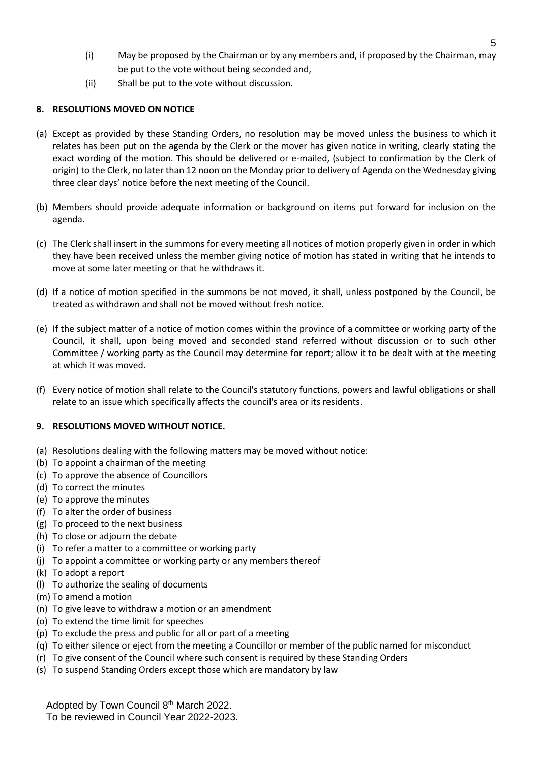- (i) May be proposed by the Chairman or by any members and, if proposed by the Chairman, may be put to the vote without being seconded and,
- (ii) Shall be put to the vote without discussion.

## **8. RESOLUTIONS MOVED ON NOTICE**

- (a) Except as provided by these Standing Orders, no resolution may be moved unless the business to which it relates has been put on the agenda by the Clerk or the mover has given notice in writing, clearly stating the exact wording of the motion. This should be delivered or e-mailed, (subject to confirmation by the Clerk of origin) to the Clerk, no later than 12 noon on the Monday prior to delivery of Agenda on the Wednesday giving three clear days' notice before the next meeting of the Council.
- (b) Members should provide adequate information or background on items put forward for inclusion on the agenda.
- (c) The Clerk shall insert in the summons for every meeting all notices of motion properly given in order in which they have been received unless the member giving notice of motion has stated in writing that he intends to move at some later meeting or that he withdraws it.
- (d) If a notice of motion specified in the summons be not moved, it shall, unless postponed by the Council, be treated as withdrawn and shall not be moved without fresh notice.
- (e) If the subject matter of a notice of motion comes within the province of a committee or working party of the Council, it shall, upon being moved and seconded stand referred without discussion or to such other Committee / working party as the Council may determine for report; allow it to be dealt with at the meeting at which it was moved.
- (f) Every notice of motion shall relate to the Council's statutory functions, powers and lawful obligations or shall relate to an issue which specifically affects the council's area or its residents.

### **9. RESOLUTIONS MOVED WITHOUT NOTICE.**

- (a) Resolutions dealing with the following matters may be moved without notice:
- (b) To appoint a chairman of the meeting
- (c) To approve the absence of Councillors
- (d) To correct the minutes
- (e) To approve the minutes
- (f) To alter the order of business
- (g) To proceed to the next business
- (h) To close or adjourn the debate
- (i) To refer a matter to a committee or working party
- (j) To appoint a committee or working party or any members thereof
- (k) To adopt a report
- (l) To authorize the sealing of documents
- (m) To amend a motion
- (n) To give leave to withdraw a motion or an amendment
- (o) To extend the time limit for speeches
- (p) To exclude the press and public for all or part of a meeting
- (q) To either silence or eject from the meeting a Councillor or member of the public named for misconduct
- (r) To give consent of the Council where such consent is required by these Standing Orders
- (s) To suspend Standing Orders except those which are mandatory by law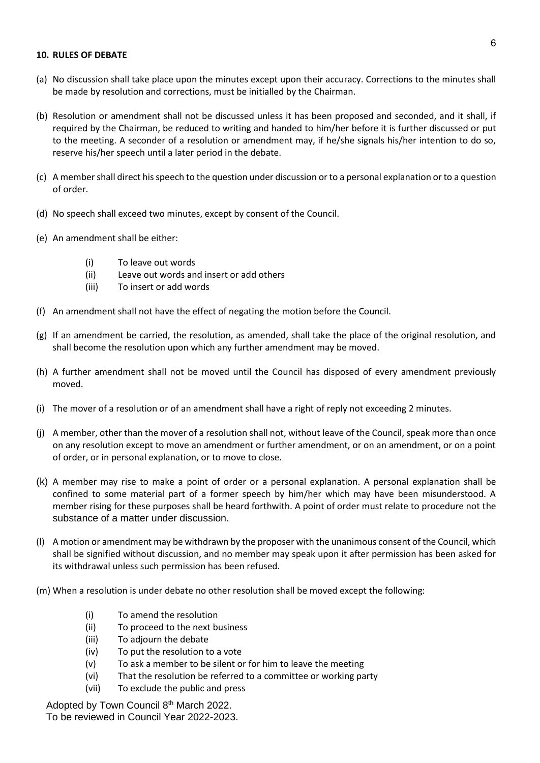#### **10. RULES OF DEBATE**

- (a) No discussion shall take place upon the minutes except upon their accuracy. Corrections to the minutes shall be made by resolution and corrections, must be initialled by the Chairman.
- (b) Resolution or amendment shall not be discussed unless it has been proposed and seconded, and it shall, if required by the Chairman, be reduced to writing and handed to him/her before it is further discussed or put to the meeting. A seconder of a resolution or amendment may, if he/she signals his/her intention to do so, reserve his/her speech until a later period in the debate.
- (c) A member shall direct his speech to the question under discussion or to a personal explanation or to a question of order.
- (d) No speech shall exceed two minutes, except by consent of the Council.
- (e) An amendment shall be either:
	- (i) To leave out words
	- (ii) Leave out words and insert or add others
	- (iii) To insert or add words
- (f) An amendment shall not have the effect of negating the motion before the Council.
- (g) If an amendment be carried, the resolution, as amended, shall take the place of the original resolution, and shall become the resolution upon which any further amendment may be moved.
- (h) A further amendment shall not be moved until the Council has disposed of every amendment previously moved.
- (i) The mover of a resolution or of an amendment shall have a right of reply not exceeding 2 minutes.
- (j) A member, other than the mover of a resolution shall not, without leave of the Council, speak more than once on any resolution except to move an amendment or further amendment, or on an amendment, or on a point of order, or in personal explanation, or to move to close.
- (k) A member may rise to make a point of order or a personal explanation. A personal explanation shall be confined to some material part of a former speech by him/her which may have been misunderstood. A member rising for these purposes shall be heard forthwith. A point of order must relate to procedure not the substance of a matter under discussion.
- (l) A motion or amendment may be withdrawn by the proposer with the unanimous consent of the Council, which shall be signified without discussion, and no member may speak upon it after permission has been asked for its withdrawal unless such permission has been refused.
- (m) When a resolution is under debate no other resolution shall be moved except the following:
	- (i) To amend the resolution
	- (ii) To proceed to the next business
	- (iii) To adjourn the debate
	- (iv) To put the resolution to a vote
	- (v) To ask a member to be silent or for him to leave the meeting
	- (vi) That the resolution be referred to a committee or working party
	- (vii) To exclude the public and press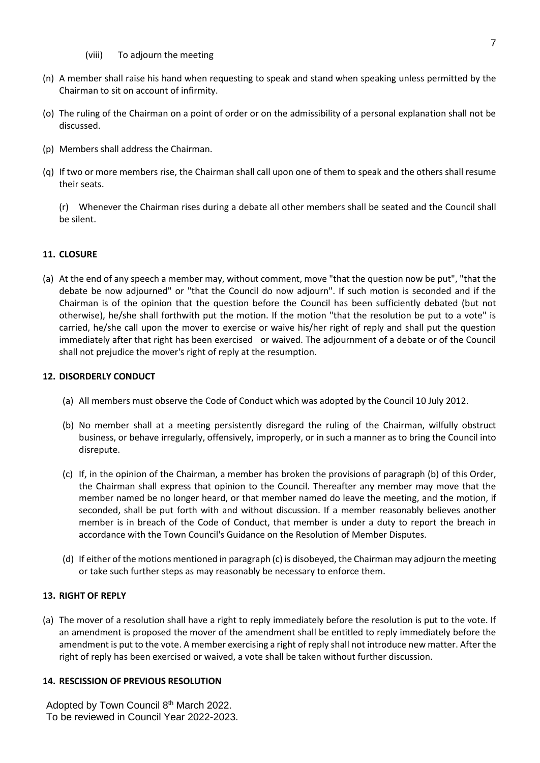- (viii) To adjourn the meeting
- (n) A member shall raise his hand when requesting to speak and stand when speaking unless permitted by the Chairman to sit on account of infirmity.
- (o) The ruling of the Chairman on a point of order or on the admissibility of a personal explanation shall not be discussed.
- (p) Members shall address the Chairman.
- (q) If two or more members rise, the Chairman shall call upon one of them to speak and the others shall resume their seats.

(r) Whenever the Chairman rises during a debate all other members shall be seated and the Council shall be silent.

### **11. CLOSURE**

(a) At the end of any speech a member may, without comment, move "that the question now be put", "that the debate be now adjourned" or "that the Council do now adjourn". If such motion is seconded and if the Chairman is of the opinion that the question before the Council has been sufficiently debated (but not otherwise), he/she shall forthwith put the motion. If the motion "that the resolution be put to a vote" is carried, he/she call upon the mover to exercise or waive his/her right of reply and shall put the question immediately after that right has been exercised or waived. The adjournment of a debate or of the Council shall not prejudice the mover's right of reply at the resumption.

#### **12. DISORDERLY CONDUCT**

- (a) All members must observe the Code of Conduct which was adopted by the Council 10 July 2012.
- (b) No member shall at a meeting persistently disregard the ruling of the Chairman, wilfully obstruct business, or behave irregularly, offensively, improperly, or in such a manner as to bring the Council into disrepute.
- (c) If, in the opinion of the Chairman, a member has broken the provisions of paragraph (b) of this Order, the Chairman shall express that opinion to the Council. Thereafter any member may move that the member named be no longer heard, or that member named do leave the meeting, and the motion, if seconded, shall be put forth with and without discussion. If a member reasonably believes another member is in breach of the Code of Conduct, that member is under a duty to report the breach in accordance with the Town Council's Guidance on the Resolution of Member Disputes.
- (d) If either of the motions mentioned in paragraph (c) is disobeyed, the Chairman may adjourn the meeting or take such further steps as may reasonably be necessary to enforce them.

#### **13. RIGHT OF REPLY**

(a) The mover of a resolution shall have a right to reply immediately before the resolution is put to the vote. If an amendment is proposed the mover of the amendment shall be entitled to reply immediately before the amendment is put to the vote. A member exercising a right of reply shall not introduce new matter. After the right of reply has been exercised or waived, a vote shall be taken without further discussion.

#### **14. RESCISSION OF PREVIOUS RESOLUTION**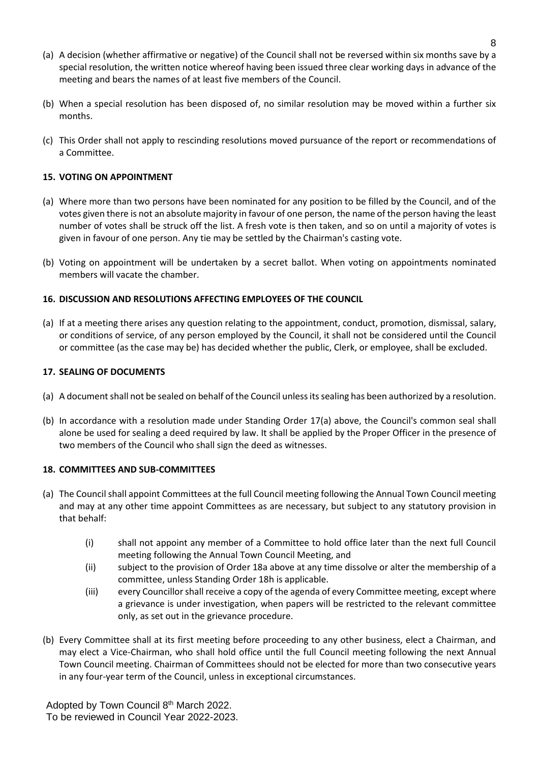- (a) A decision (whether affirmative or negative) of the Council shall not be reversed within six months save by a special resolution, the written notice whereof having been issued three clear working days in advance of the meeting and bears the names of at least five members of the Council.
- (b) When a special resolution has been disposed of, no similar resolution may be moved within a further six months.
- (c) This Order shall not apply to rescinding resolutions moved pursuance of the report or recommendations of a Committee.

### **15. VOTING ON APPOINTMENT**

- (a) Where more than two persons have been nominated for any position to be filled by the Council, and of the votes given there is not an absolute majority in favour of one person, the name of the person having the least number of votes shall be struck off the list. A fresh vote is then taken, and so on until a majority of votes is given in favour of one person. Any tie may be settled by the Chairman's casting vote.
- (b) Voting on appointment will be undertaken by a secret ballot. When voting on appointments nominated members will vacate the chamber.

### **16. DISCUSSION AND RESOLUTIONS AFFECTING EMPLOYEES OF THE COUNCIL**

(a) If at a meeting there arises any question relating to the appointment, conduct, promotion, dismissal, salary, or conditions of service, of any person employed by the Council, it shall not be considered until the Council or committee (as the case may be) has decided whether the public, Clerk, or employee, shall be excluded.

### **17. SEALING OF DOCUMENTS**

- (a) A document shall not be sealed on behalf of the Council unless its sealing has been authorized by a resolution.
- (b) In accordance with a resolution made under Standing Order 17(a) above, the Council's common seal shall alone be used for sealing a deed required by law. It shall be applied by the Proper Officer in the presence of two members of the Council who shall sign the deed as witnesses.

#### **18. COMMITTEES AND SUB-COMMITTEES**

- (a) The Council shall appoint Committees at the full Council meeting following the Annual Town Council meeting and may at any other time appoint Committees as are necessary, but subject to any statutory provision in that behalf:
	- (i) shall not appoint any member of a Committee to hold office later than the next full Council meeting following the Annual Town Council Meeting, and
	- (ii) subject to the provision of Order 18a above at any time dissolve or alter the membership of a committee, unless Standing Order 18h is applicable.
	- (iii) every Councillor shall receive a copy of the agenda of every Committee meeting, except where a grievance is under investigation, when papers will be restricted to the relevant committee only, as set out in the grievance procedure.
- (b) Every Committee shall at its first meeting before proceeding to any other business, elect a Chairman, and may elect a Vice-Chairman, who shall hold office until the full Council meeting following the next Annual Town Council meeting. Chairman of Committees should not be elected for more than two consecutive years in any four-year term of the Council, unless in exceptional circumstances.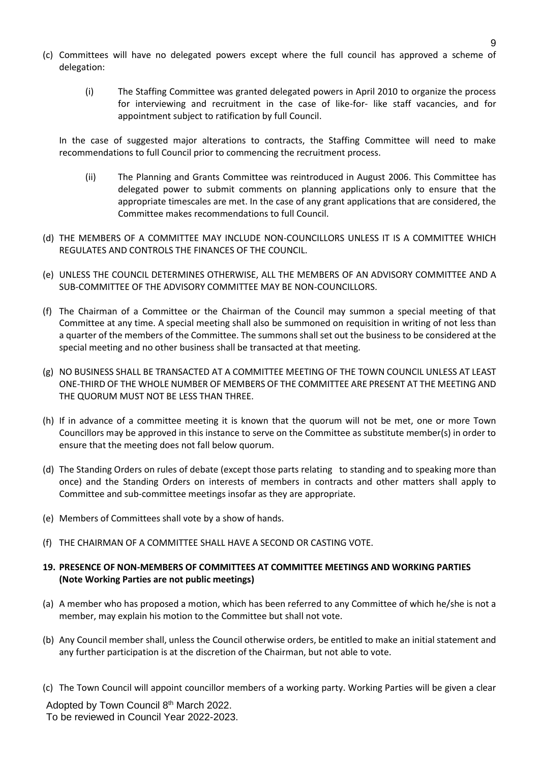- (c) Committees will have no delegated powers except where the full council has approved a scheme of delegation:
	- (i) The Staffing Committee was granted delegated powers in April 2010 to organize the process for interviewing and recruitment in the case of like-for- like staff vacancies, and for appointment subject to ratification by full Council.

In the case of suggested major alterations to contracts, the Staffing Committee will need to make recommendations to full Council prior to commencing the recruitment process.

- (ii) The Planning and Grants Committee was reintroduced in August 2006. This Committee has delegated power to submit comments on planning applications only to ensure that the appropriate timescales are met. In the case of any grant applications that are considered, the Committee makes recommendations to full Council.
- (d) THE MEMBERS OF A COMMITTEE MAY INCLUDE NON-COUNCILLORS UNLESS IT IS A COMMITTEE WHICH REGULATES AND CONTROLS THE FINANCES OF THE COUNCIL.
- (e) UNLESS THE COUNCIL DETERMINES OTHERWISE, ALL THE MEMBERS OF AN ADVISORY COMMITTEE AND A SUB-COMMITTEE OF THE ADVISORY COMMITTEE MAY BE NON-COUNCILLORS.
- (f) The Chairman of a Committee or the Chairman of the Council may summon a special meeting of that Committee at any time. A special meeting shall also be summoned on requisition in writing of not less than a quarter of the members of the Committee. The summons shall set out the business to be considered at the special meeting and no other business shall be transacted at that meeting.
- (g) NO BUSINESS SHALL BE TRANSACTED AT A COMMITTEE MEETING OF THE TOWN COUNCIL UNLESS AT LEAST ONE-THIRD OF THE WHOLE NUMBER OF MEMBERS OF THE COMMITTEE ARE PRESENT AT THE MEETING AND THE QUORUM MUST NOT BE LESS THAN THREE.
- (h) If in advance of a committee meeting it is known that the quorum will not be met, one or more Town Councillors may be approved in this instance to serve on the Committee as substitute member(s) in order to ensure that the meeting does not fall below quorum.
- (d) The Standing Orders on rules of debate (except those parts relating to standing and to speaking more than once) and the Standing Orders on interests of members in contracts and other matters shall apply to Committee and sub-committee meetings insofar as they are appropriate.
- (e) Members of Committees shall vote by a show of hands.
- (f) THE CHAIRMAN OF A COMMITTEE SHALL HAVE A SECOND OR CASTING VOTE.

### **19. PRESENCE OF NON-MEMBERS OF COMMITTEES AT COMMITTEE MEETINGS AND WORKING PARTIES (Note Working Parties are not public meetings)**

- (a) A member who has proposed a motion, which has been referred to any Committee of which he/she is not a member, may explain his motion to the Committee but shall not vote.
- (b) Any Council member shall, unless the Council otherwise orders, be entitled to make an initial statement and any further participation is at the discretion of the Chairman, but not able to vote.
- (c) The Town Council will appoint councillor members of a working party. Working Parties will be given a clear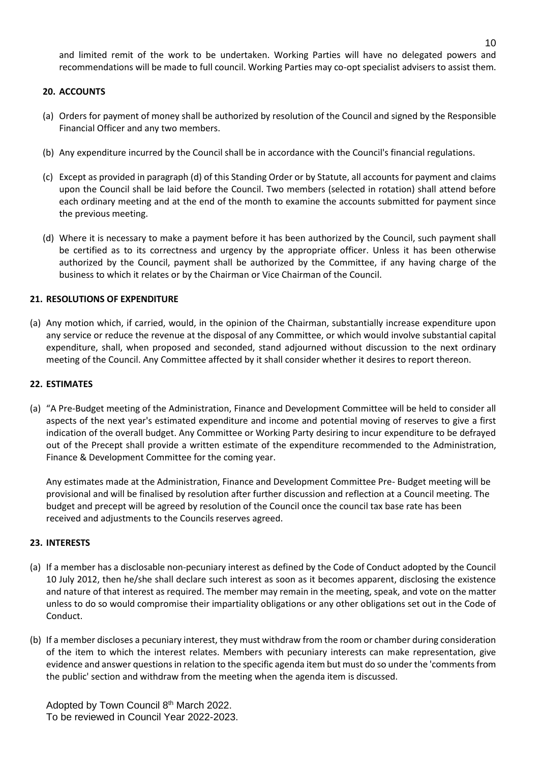and limited remit of the work to be undertaken. Working Parties will have no delegated powers and recommendations will be made to full council. Working Parties may co-opt specialist advisers to assist them.

### **20. ACCOUNTS**

- (a) Orders for payment of money shall be authorized by resolution of the Council and signed by the Responsible Financial Officer and any two members.
- (b) Any expenditure incurred by the Council shall be in accordance with the Council's financial regulations.
- (c) Except as provided in paragraph (d) of this Standing Order or by Statute, all accounts for payment and claims upon the Council shall be laid before the Council. Two members (selected in rotation) shall attend before each ordinary meeting and at the end of the month to examine the accounts submitted for payment since the previous meeting.
- (d) Where it is necessary to make a payment before it has been authorized by the Council, such payment shall be certified as to its correctness and urgency by the appropriate officer. Unless it has been otherwise authorized by the Council, payment shall be authorized by the Committee, if any having charge of the business to which it relates or by the Chairman or Vice Chairman of the Council.

### **21. RESOLUTIONS OF EXPENDITURE**

(a) Any motion which, if carried, would, in the opinion of the Chairman, substantially increase expenditure upon any service or reduce the revenue at the disposal of any Committee, or which would involve substantial capital expenditure, shall, when proposed and seconded, stand adjourned without discussion to the next ordinary meeting of the Council. Any Committee affected by it shall consider whether it desires to report thereon.

#### **22. ESTIMATES**

(a) "A Pre-Budget meeting of the Administration, Finance and Development Committee will be held to consider all aspects of the next year's estimated expenditure and income and potential moving of reserves to give a first indication of the overall budget. Any Committee or Working Party desiring to incur expenditure to be defrayed out of the Precept shall provide a written estimate of the expenditure recommended to the Administration, Finance & Development Committee for the coming year.

Any estimates made at the Administration, Finance and Development Committee Pre- Budget meeting will be provisional and will be finalised by resolution after further discussion and reflection at a Council meeting. The budget and precept will be agreed by resolution of the Council once the council tax base rate has been received and adjustments to the Councils reserves agreed.

#### **23. INTERESTS**

- (a) If a member has a disclosable non-pecuniary interest as defined by the Code of Conduct adopted by the Council 10 July 2012, then he/she shall declare such interest as soon as it becomes apparent, disclosing the existence and nature of that interest as required. The member may remain in the meeting, speak, and vote on the matter unless to do so would compromise their impartiality obligations or any other obligations set out in the Code of Conduct.
- (b) If a member discloses a pecuniary interest, they must withdraw from the room or chamber during consideration of the item to which the interest relates. Members with pecuniary interests can make representation, give evidence and answer questions in relation to the specific agenda item but must do so under the 'comments from the public' section and withdraw from the meeting when the agenda item is discussed.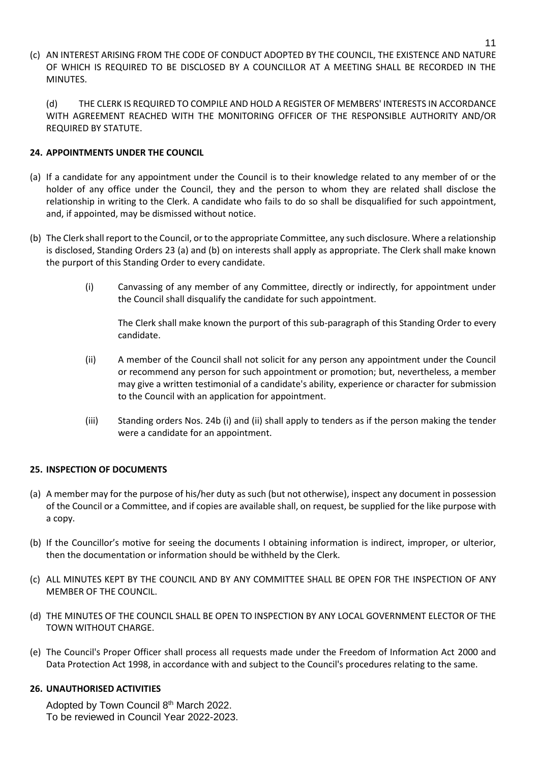(c) AN INTEREST ARISING FROM THE CODE OF CONDUCT ADOPTED BY THE COUNCIL, THE EXISTENCE AND NATURE OF WHICH IS REQUIRED TO BE DISCLOSED BY A COUNCILLOR AT A MEETING SHALL BE RECORDED IN THE MINUTES.

(d) THE CLERK IS REQUIRED TO COMPILE AND HOLD A REGISTER OF MEMBERS' INTERESTS IN ACCORDANCE WITH AGREEMENT REACHED WITH THE MONITORING OFFICER OF THE RESPONSIBLE AUTHORITY AND/OR REQUIRED BY STATUTE.

### **24. APPOINTMENTS UNDER THE COUNCIL**

- (a) If a candidate for any appointment under the Council is to their knowledge related to any member of or the holder of any office under the Council, they and the person to whom they are related shall disclose the relationship in writing to the Clerk. A candidate who fails to do so shall be disqualified for such appointment, and, if appointed, may be dismissed without notice.
- (b) The Clerk shall report to the Council, or to the appropriate Committee, any such disclosure. Where a relationship is disclosed, Standing Orders 23 (a) and (b) on interests shall apply as appropriate. The Clerk shall make known the purport of this Standing Order to every candidate.
	- (i) Canvassing of any member of any Committee, directly or indirectly, for appointment under the Council shall disqualify the candidate for such appointment.

The Clerk shall make known the purport of this sub-paragraph of this Standing Order to every candidate.

- (ii) A member of the Council shall not solicit for any person any appointment under the Council or recommend any person for such appointment or promotion; but, nevertheless, a member may give a written testimonial of a candidate's ability, experience or character for submission to the Council with an application for appointment.
- (iii) Standing orders Nos. 24b (i) and (ii) shall apply to tenders as if the person making the tender were a candidate for an appointment.

### **25. INSPECTION OF DOCUMENTS**

- (a) A member may for the purpose of his/her duty as such (but not otherwise), inspect any document in possession of the Council or a Committee, and if copies are available shall, on request, be supplied for the like purpose with a copy.
- (b) If the Councillor's motive for seeing the documents I obtaining information is indirect, improper, or ulterior, then the documentation or information should be withheld by the Clerk.
- (c) ALL MINUTES KEPT BY THE COUNCIL AND BY ANY COMMITTEE SHALL BE OPEN FOR THE INSPECTION OF ANY MEMBER OF THE COUNCIL.
- (d) THE MINUTES OF THE COUNCIL SHALL BE OPEN TO INSPECTION BY ANY LOCAL GOVERNMENT ELECTOR OF THE TOWN WITHOUT CHARGE.
- (e) The Council's Proper Officer shall process all requests made under the Freedom of Information Act 2000 and Data Protection Act 1998, in accordance with and subject to the Council's procedures relating to the same.

#### **26. UNAUTHORISED ACTIVITIES**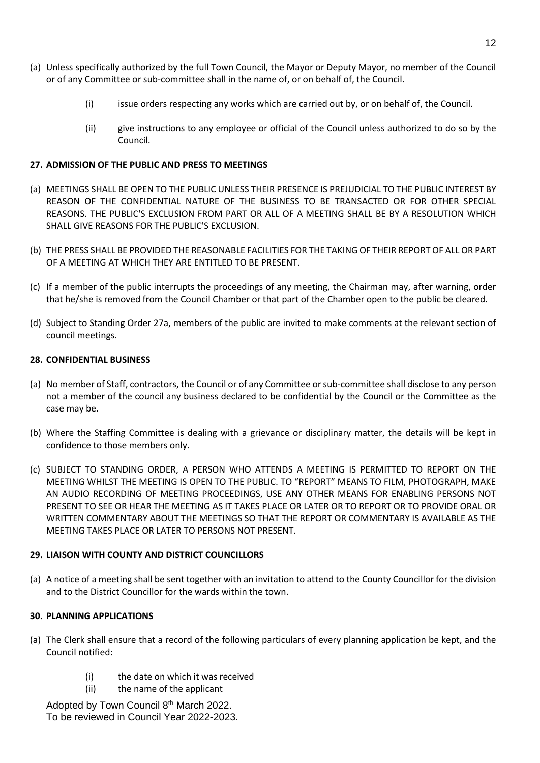- (a) Unless specifically authorized by the full Town Council, the Mayor or Deputy Mayor, no member of the Council or of any Committee or sub-committee shall in the name of, or on behalf of, the Council.
	- (i) issue orders respecting any works which are carried out by, or on behalf of, the Council.
	- (ii) give instructions to any employee or official of the Council unless authorized to do so by the Council.

### **27. ADMISSION OF THE PUBLIC AND PRESS TO MEETINGS**

- (a) MEETINGS SHALL BE OPEN TO THE PUBLIC UNLESS THEIR PRESENCE IS PREJUDICIAL TO THE PUBLIC INTEREST BY REASON OF THE CONFIDENTIAL NATURE OF THE BUSINESS TO BE TRANSACTED OR FOR OTHER SPECIAL REASONS. THE PUBLIC'S EXCLUSION FROM PART OR ALL OF A MEETING SHALL BE BY A RESOLUTION WHICH SHALL GIVE REASONS FOR THE PUBLIC'S EXCLUSION.
- (b) THE PRESS SHALL BE PROVIDED THE REASONABLE FACILITIES FOR THE TAKING OF THEIR REPORT OF ALL OR PART OF A MEETING AT WHICH THEY ARE ENTITLED TO BE PRESENT.
- (c) If a member of the public interrupts the proceedings of any meeting, the Chairman may, after warning, order that he/she is removed from the Council Chamber or that part of the Chamber open to the public be cleared.
- (d) Subject to Standing Order 27a, members of the public are invited to make comments at the relevant section of council meetings.

### **28. CONFIDENTIAL BUSINESS**

- (a) No member of Staff, contractors, the Council or of any Committee or sub-committee shall disclose to any person not a member of the council any business declared to be confidential by the Council or the Committee as the case may be.
- (b) Where the Staffing Committee is dealing with a grievance or disciplinary matter, the details will be kept in confidence to those members only.
- (c) SUBJECT TO STANDING ORDER, A PERSON WHO ATTENDS A MEETING IS PERMITTED TO REPORT ON THE MEETING WHILST THE MEETING IS OPEN TO THE PUBLIC. TO "REPORT" MEANS TO FILM, PHOTOGRAPH, MAKE AN AUDIO RECORDING OF MEETING PROCEEDINGS, USE ANY OTHER MEANS FOR ENABLING PERSONS NOT PRESENT TO SEE OR HEAR THE MEETING AS IT TAKES PLACE OR LATER OR TO REPORT OR TO PROVIDE ORAL OR WRITTEN COMMENTARY ABOUT THE MEETINGS SO THAT THE REPORT OR COMMENTARY IS AVAILABLE AS THE MEETING TAKES PLACE OR LATER TO PERSONS NOT PRESENT.

### **29. LIAISON WITH COUNTY AND DISTRICT COUNCILLORS**

(a) A notice of a meeting shall be sent together with an invitation to attend to the County Councillor for the division and to the District Councillor for the wards within the town.

#### **30. PLANNING APPLICATIONS**

- (a) The Clerk shall ensure that a record of the following particulars of every planning application be kept, and the Council notified:
	- (i) the date on which it was received
	- (ii) the name of the applicant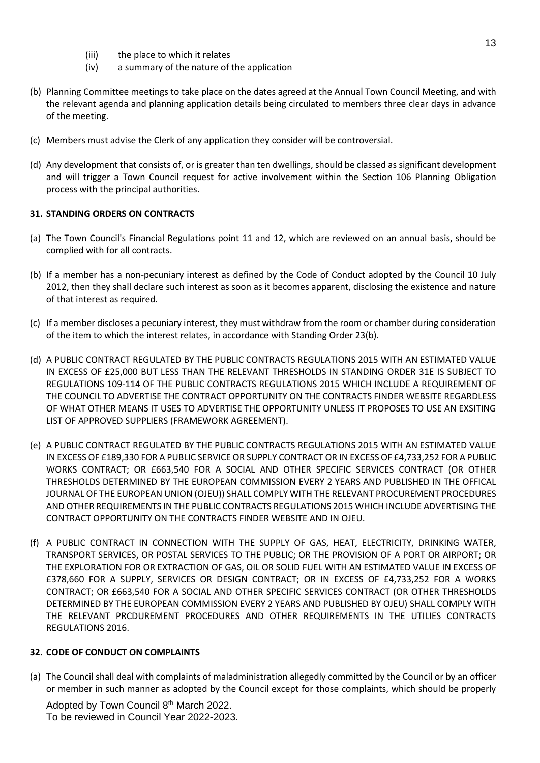- (iii) the place to which it relates
- (iv) a summary of the nature of the application
- (b) Planning Committee meetings to take place on the dates agreed at the Annual Town Council Meeting, and with the relevant agenda and planning application details being circulated to members three clear days in advance of the meeting.
- (c) Members must advise the Clerk of any application they consider will be controversial.
- (d) Any development that consists of, or is greater than ten dwellings, should be classed as significant development and will trigger a Town Council request for active involvement within the Section 106 Planning Obligation process with the principal authorities.

### **31. STANDING ORDERS ON CONTRACTS**

- (a) The Town Council's Financial Regulations point 11 and 12, which are reviewed on an annual basis, should be complied with for all contracts.
- (b) If a member has a non-pecuniary interest as defined by the Code of Conduct adopted by the Council 10 July 2012, then they shall declare such interest as soon as it becomes apparent, disclosing the existence and nature of that interest as required.
- (c) If a member discloses a pecuniary interest, they must withdraw from the room or chamber during consideration of the item to which the interest relates, in accordance with Standing Order 23(b).
- (d) A PUBLIC CONTRACT REGULATED BY THE PUBLIC CONTRACTS REGULATIONS 2015 WITH AN ESTIMATED VALUE IN EXCESS OF £25,000 BUT LESS THAN THE RELEVANT THRESHOLDS IN STANDING ORDER 31E IS SUBJECT TO REGULATIONS 109-114 OF THE PUBLIC CONTRACTS REGULATIONS 2015 WHICH INCLUDE A REQUIREMENT OF THE COUNCIL TO ADVERTISE THE CONTRACT OPPORTUNITY ON THE CONTRACTS FINDER WEBSITE REGARDLESS OF WHAT OTHER MEANS IT USES TO ADVERTISE THE OPPORTUNITY UNLESS IT PROPOSES TO USE AN EXSITING LIST OF APPROVED SUPPLIERS (FRAMEWORK AGREEMENT).
- (e) A PUBLIC CONTRACT REGULATED BY THE PUBLIC CONTRACTS REGULATIONS 2015 WITH AN ESTIMATED VALUE IN EXCESS OF £189,330 FOR A PUBLIC SERVICE OR SUPPLY CONTRACT OR IN EXCESS OF £4,733,252 FOR A PUBLIC WORKS CONTRACT; OR £663,540 FOR A SOCIAL AND OTHER SPECIFIC SERVICES CONTRACT (OR OTHER THRESHOLDS DETERMINED BY THE EUROPEAN COMMISSION EVERY 2 YEARS AND PUBLISHED IN THE OFFICAL JOURNAL OF THE EUROPEAN UNION (OJEU)) SHALL COMPLY WITH THE RELEVANT PROCUREMENT PROCEDURES AND OTHER REQUIREMENTS IN THE PUBLIC CONTRACTS REGULATIONS 2015 WHICH INCLUDE ADVERTISING THE CONTRACT OPPORTUNITY ON THE CONTRACTS FINDER WEBSITE AND IN OJEU.
- (f) A PUBLIC CONTRACT IN CONNECTION WITH THE SUPPLY OF GAS, HEAT, ELECTRICITY, DRINKING WATER, TRANSPORT SERVICES, OR POSTAL SERVICES TO THE PUBLIC; OR THE PROVISION OF A PORT OR AIRPORT; OR THE EXPLORATION FOR OR EXTRACTION OF GAS, OIL OR SOLID FUEL WITH AN ESTIMATED VALUE IN EXCESS OF £378,660 FOR A SUPPLY, SERVICES OR DESIGN CONTRACT; OR IN EXCESS OF £4,733,252 FOR A WORKS CONTRACT; OR £663,540 FOR A SOCIAL AND OTHER SPECIFIC SERVICES CONTRACT (OR OTHER THRESHOLDS DETERMINED BY THE EUROPEAN COMMISSION EVERY 2 YEARS AND PUBLISHED BY OJEU) SHALL COMPLY WITH THE RELEVANT PRCDUREMENT PROCEDURES AND OTHER REQUIREMENTS IN THE UTILIES CONTRACTS REGULATIONS 2016.

#### **32. CODE OF CONDUCT ON COMPLAINTS**

(a) The Council shall deal with complaints of maladministration allegedly committed by the Council or by an officer or member in such manner as adopted by the Council except for those complaints, which should be properly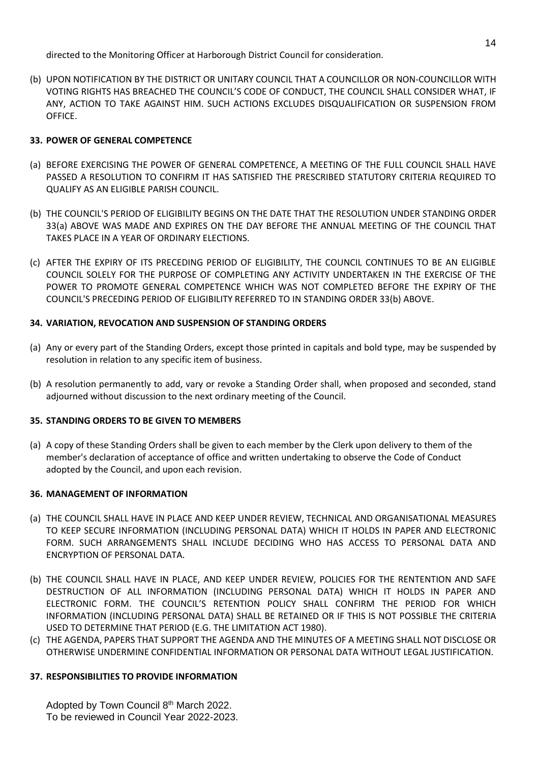directed to the Monitoring Officer at Harborough District Council for consideration.

(b) UPON NOTIFICATION BY THE DISTRICT OR UNITARY COUNCIL THAT A COUNCILLOR OR NON-COUNCILLOR WITH VOTING RIGHTS HAS BREACHED THE COUNCIL'S CODE OF CONDUCT, THE COUNCIL SHALL CONSIDER WHAT, IF ANY, ACTION TO TAKE AGAINST HIM. SUCH ACTIONS EXCLUDES DISQUALIFICATION OR SUSPENSION FROM OFFICE.

### **33. POWER OF GENERAL COMPETENCE**

- (a) BEFORE EXERCISING THE POWER OF GENERAL COMPETENCE, A MEETING OF THE FULL COUNCIL SHALL HAVE PASSED A RESOLUTION TO CONFIRM IT HAS SATISFIED THE PRESCRIBED STATUTORY CRITERIA REQUIRED TO QUALIFY AS AN ELIGIBLE PARISH COUNCIL.
- (b) THE COUNCIL'S PERIOD OF ELIGIBILITY BEGINS ON THE DATE THAT THE RESOLUTION UNDER STANDING ORDER 33(a) ABOVE WAS MADE AND EXPIRES ON THE DAY BEFORE THE ANNUAL MEETING OF THE COUNCIL THAT TAKES PLACE IN A YEAR OF ORDINARY ELECTIONS.
- (c) AFTER THE EXPIRY OF ITS PRECEDING PERIOD OF ELIGIBILITY, THE COUNCIL CONTINUES TO BE AN ELIGIBLE COUNCIL SOLELY FOR THE PURPOSE OF COMPLETING ANY ACTIVITY UNDERTAKEN IN THE EXERCISE OF THE POWER TO PROMOTE GENERAL COMPETENCE WHICH WAS NOT COMPLETED BEFORE THE EXPIRY OF THE COUNCIL'S PRECEDING PERIOD OF ELIGIBILITY REFERRED TO IN STANDING ORDER 33(b) ABOVE.

### **34. VARIATION, REVOCATION AND SUSPENSION OF STANDING ORDERS**

- (a) Any or every part of the Standing Orders, except those printed in capitals and bold type, may be suspended by resolution in relation to any specific item of business.
- (b) A resolution permanently to add, vary or revoke a Standing Order shall, when proposed and seconded, stand adjourned without discussion to the next ordinary meeting of the Council.

### **35. STANDING ORDERS TO BE GIVEN TO MEMBERS**

(a) A copy of these Standing Orders shall be given to each member by the Clerk upon delivery to them of the member's declaration of acceptance of office and written undertaking to observe the Code of Conduct adopted by the Council, and upon each revision.

### **36. MANAGEMENT OF INFORMATION**

- (a) THE COUNCIL SHALL HAVE IN PLACE AND KEEP UNDER REVIEW, TECHNICAL AND ORGANISATIONAL MEASURES TO KEEP SECURE INFORMATION (INCLUDING PERSONAL DATA) WHICH IT HOLDS IN PAPER AND ELECTRONIC FORM. SUCH ARRANGEMENTS SHALL INCLUDE DECIDING WHO HAS ACCESS TO PERSONAL DATA AND ENCRYPTION OF PERSONAL DATA.
- (b) THE COUNCIL SHALL HAVE IN PLACE, AND KEEP UNDER REVIEW, POLICIES FOR THE RENTENTION AND SAFE DESTRUCTION OF ALL INFORMATION (INCLUDING PERSONAL DATA) WHICH IT HOLDS IN PAPER AND ELECTRONIC FORM. THE COUNCIL'S RETENTION POLICY SHALL CONFIRM THE PERIOD FOR WHICH INFORMATION (INCLUDING PERSONAL DATA) SHALL BE RETAINED OR IF THIS IS NOT POSSIBLE THE CRITERIA USED TO DETERMINE THAT PERIOD (E.G. THE LIMITATION ACT 1980).
- (c) THE AGENDA, PAPERS THAT SUPPORT THE AGENDA AND THE MINUTES OF A MEETING SHALL NOT DISCLOSE OR OTHERWISE UNDERMINE CONFIDENTIAL INFORMATION OR PERSONAL DATA WITHOUT LEGAL JUSTIFICATION.

## **37. RESPONSIBILITIES TO PROVIDE INFORMATION**